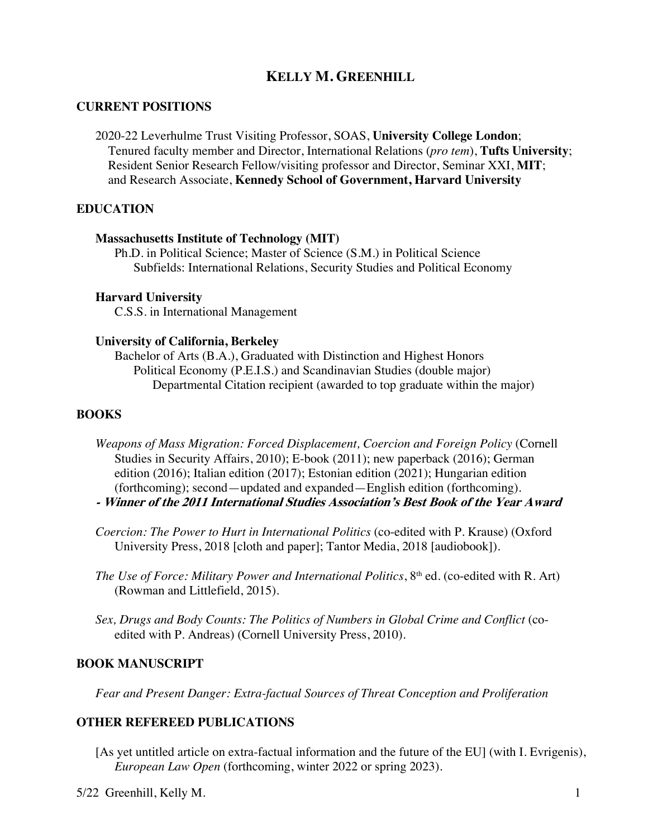# **KELLY M. GREENHILL**

### **CURRENT POSITIONS**

2020-22 Leverhulme Trust Visiting Professor, SOAS, **University College London**; Tenured faculty member and Director, International Relations (*pro tem*), **Tufts University**; Resident Senior Research Fellow/visiting professor and Director, Seminar XXI, **MIT**; and Research Associate, **Kennedy School of Government, Harvard University**

### **EDUCATION**

#### **Massachusetts Institute of Technology (MIT)**

Ph.D. in Political Science; Master of Science (S.M.) in Political Science Subfields: International Relations, Security Studies and Political Economy

#### **Harvard University**

C.S.S. in International Management

#### **University of California, Berkeley**

Bachelor of Arts (B.A.), Graduated with Distinction and Highest Honors Political Economy (P.E.I.S.) and Scandinavian Studies (double major) Departmental Citation recipient (awarded to top graduate within the major)

### **BOOKS**

- *Weapons of Mass Migration: Forced Displacement, Coercion and Foreign Policy* (Cornell Studies in Security Affairs, 2010); E-book (2011); new paperback (2016); German edition (2016); Italian edition (2017); Estonian edition (2021); Hungarian edition (forthcoming); second—updated and expanded—English edition (forthcoming).
- **- Winner of the 2011 International Studies Association's Best Book of the Year Award**
- *Coercion: The Power to Hurt in International Politics* (co-edited with P. Krause) (Oxford University Press, 2018 [cloth and paper]; Tantor Media, 2018 [audiobook]).
- *The Use of Force: Military Power and International Politics*, 8<sup>th</sup> ed. (co-edited with R. Art) (Rowman and Littlefield, 2015).
- *Sex, Drugs and Body Counts: The Politics of Numbers in Global Crime and Conflict* (coedited with P. Andreas) (Cornell University Press, 2010).

#### **BOOK MANUSCRIPT**

*Fear and Present Danger: Extra-factual Sources of Threat Conception and Proliferation*

### **OTHER REFEREED PUBLICATIONS**

[As yet untitled article on extra-factual information and the future of the EU] (with I. Evrigenis), *European Law Open* (forthcoming, winter 2022 or spring 2023).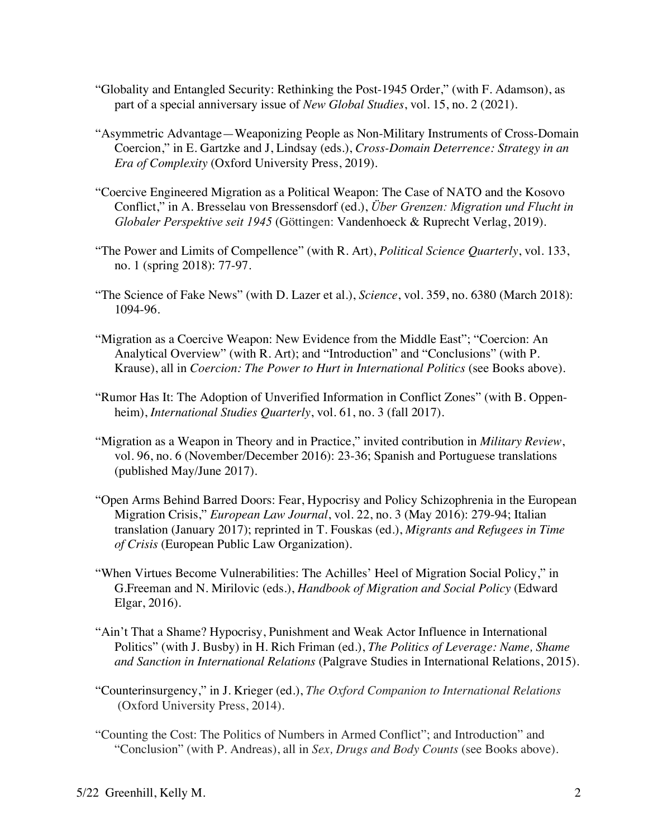- "Globality and Entangled Security: Rethinking the Post-1945 Order," (with F. Adamson), as part of a special anniversary issue of *New Global Studies*, vol. 15, no. 2 (2021).
- "Asymmetric Advantage—Weaponizing People as Non-Military Instruments of Cross-Domain Coercion," in E. Gartzke and J, Lindsay (eds.), *Cross-Domain Deterrence: Strategy in an Era of Complexity* (Oxford University Press, 2019).
- "Coercive Engineered Migration as a Political Weapon: The Case of NATO and the Kosovo Conflict," in A. Bresselau von Bressensdorf (ed.), *Über Grenzen: Migration und Flucht in Globaler Perspektive seit 1945* (Göttingen: Vandenhoeck & Ruprecht Verlag, 2019).
- "The Power and Limits of Compellence" (with R. Art), *Political Science Quarterly*, vol. 133, no. 1 (spring 2018): 77-97.
- "The Science of Fake News" (with D. Lazer et al.), *Science*, vol. 359, no. 6380 (March 2018): 1094-96.
- "Migration as a Coercive Weapon: New Evidence from the Middle East"; "Coercion: An Analytical Overview" (with R. Art); and "Introduction" and "Conclusions" (with P. Krause), all in *Coercion: The Power to Hurt in International Politics* (see Books above).
- "Rumor Has It: The Adoption of Unverified Information in Conflict Zones" (with B. Oppenheim), *International Studies Quarterly*, vol. 61, no. 3 (fall 2017).
- "Migration as a Weapon in Theory and in Practice," invited contribution in *Military Review*, vol. 96, no. 6 (November/December 2016): 23-36; Spanish and Portuguese translations (published May/June 2017).
- "Open Arms Behind Barred Doors: Fear, Hypocrisy and Policy Schizophrenia in the European Migration Crisis," *European Law Journal*, vol. 22, no. 3 (May 2016): 279-94; Italian translation (January 2017); reprinted in T. Fouskas (ed.), *Migrants and Refugees in Time of Crisis* (European Public Law Organization).
- "When Virtues Become Vulnerabilities: The Achilles' Heel of Migration Social Policy," in G.Freeman and N. Mirilovic (eds.), *Handbook of Migration and Social Policy* (Edward Elgar, 2016).
- "Ain't That a Shame? Hypocrisy, Punishment and Weak Actor Influence in International Politics" (with J. Busby) in H. Rich Friman (ed.), *The Politics of Leverage: Name, Shame and Sanction in International Relations* (Palgrave Studies in International Relations, 2015).
- "Counterinsurgency," in J. Krieger (ed.), *The Oxford Companion to International Relations* (Oxford University Press, 2014).
- "Counting the Cost: The Politics of Numbers in Armed Conflict"; and Introduction" and "Conclusion" (with P. Andreas), all in *Sex, Drugs and Body Counts* (see Books above).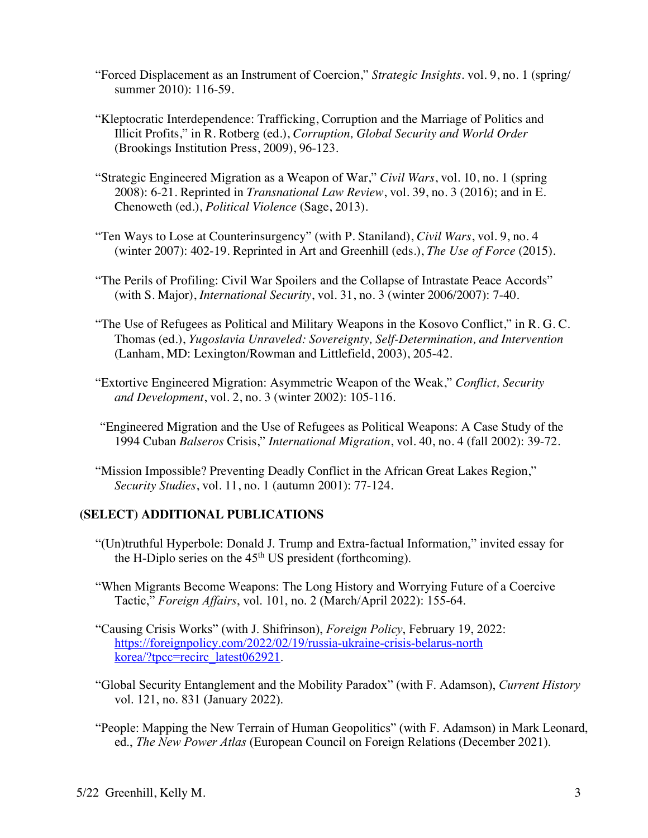- "Forced Displacement as an Instrument of Coercion," *Strategic Insights*. vol. 9, no. 1 (spring/ summer 2010): 116-59.
- "Kleptocratic Interdependence: Trafficking, Corruption and the Marriage of Politics and Illicit Profits," in R. Rotberg (ed.), *Corruption, Global Security and World Order* (Brookings Institution Press, 2009), 96-123.
- "Strategic Engineered Migration as a Weapon of War," *Civil Wars*, vol. 10, no. 1 (spring 2008): 6-21. Reprinted in *Transnational Law Review*, vol. 39, no. 3 (2016); and in E. Chenoweth (ed.), *Political Violence* (Sage, 2013).
- "Ten Ways to Lose at Counterinsurgency" (with P. Staniland), *Civil Wars*, vol. 9, no. 4 (winter 2007): 402-19. Reprinted in Art and Greenhill (eds.), *The Use of Force* (2015).
- "The Perils of Profiling: Civil War Spoilers and the Collapse of Intrastate Peace Accords" (with S. Major), *International Security*, vol. 31, no. 3 (winter 2006/2007): 7-40.
- "The Use of Refugees as Political and Military Weapons in the Kosovo Conflict," in R. G. C. Thomas (ed.), *Yugoslavia Unraveled: Sovereignty, Self-Determination, and Intervention* (Lanham, MD: Lexington/Rowman and Littlefield, 2003), 205-42.
- "Extortive Engineered Migration: Asymmetric Weapon of the Weak," *Conflict, Security and Development*, vol. 2, no. 3 (winter 2002): 105-116.
- "Engineered Migration and the Use of Refugees as Political Weapons: A Case Study of the 1994 Cuban *Balseros* Crisis," *International Migration*, vol. 40, no. 4 (fall 2002): 39-72.
- "Mission Impossible? Preventing Deadly Conflict in the African Great Lakes Region," *Security Studies*, vol. 11, no. 1 (autumn 2001): 77-124.

## **(SELECT) ADDITIONAL PUBLICATIONS**

- "(Un)truthful Hyperbole: Donald J. Trump and Extra-factual Information," invited essay for the H-Diplo series on the  $45<sup>th</sup> US president (forthcoming)$ .
- "When Migrants Become Weapons: The Long History and Worrying Future of a Coercive Tactic," *Foreign Affairs*, vol. 101, no. 2 (March/April 2022): 155-64.
- "Causing Crisis Works" (with J. Shifrinson), *Foreign Policy*, February 19, 2022: https://foreignpolicy.com/2022/02/19/russia-ukraine-crisis-belarus-north korea/?tpcc=recirc\_latest062921.
- "Global Security Entanglement and the Mobility Paradox" (with F. Adamson), *Current History* vol. 121, no. 831 (January 2022).
- "People: Mapping the New Terrain of Human Geopolitics" (with F. Adamson) in Mark Leonard, ed., *The New Power Atlas* (European Council on Foreign Relations (December 2021).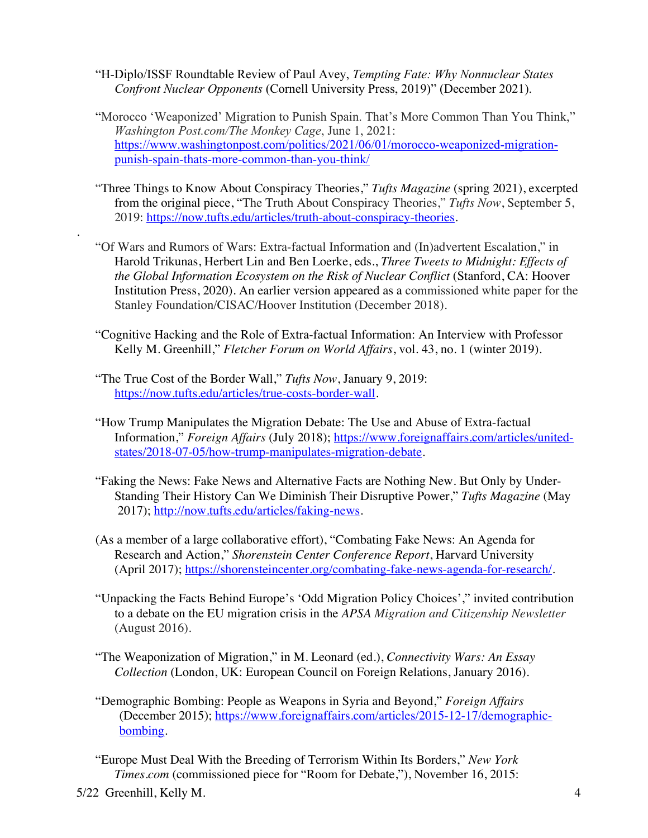- "H-Diplo/ISSF Roundtable Review of Paul Avey, *Tempting Fate: Why Nonnuclear States Confront Nuclear Opponents* (Cornell University Press, 2019)" (December 2021).
- "Morocco 'Weaponized' Migration to Punish Spain. That's More Common Than You Think," *Washington Post.com/The Monkey Cage*, June 1, 2021: https://www.washingtonpost.com/politics/2021/06/01/morocco-weaponized-migrationpunish-spain-thats-more-common-than-you-think/
- "Three Things to Know About Conspiracy Theories," *Tufts Magazine* (spring 2021), excerpted from the original piece, "The Truth About Conspiracy Theories," *Tufts Now*, September 5, 2019: https://now.tufts.edu/articles/truth-about-conspiracy-theories.
- "Of Wars and Rumors of Wars: Extra-factual Information and (In)advertent Escalation," in Harold Trikunas, Herbert Lin and Ben Loerke, eds., *Three Tweets to Midnight: Effects of the Global Information Ecosystem on the Risk of Nuclear Conflict* (Stanford, CA: Hoover Institution Press, 2020). An earlier version appeared as a commissioned white paper for the Stanley Foundation/CISAC/Hoover Institution (December 2018).
- "Cognitive Hacking and the Role of Extra-factual Information: An Interview with Professor Kelly M. Greenhill," *Fletcher Forum on World Affairs*, vol. 43, no. 1 (winter 2019).
- "The True Cost of the Border Wall," *Tufts Now*, January 9, 2019: https://now.tufts.edu/articles/true-costs-border-wall.
- "How Trump Manipulates the Migration Debate: The Use and Abuse of Extra-factual Information," *Foreign Affairs* (July 2018); https://www.foreignaffairs.com/articles/unitedstates/2018-07-05/how-trump-manipulates-migration-debate.
- "Faking the News: Fake News and Alternative Facts are Nothing New. But Only by Under-Standing Their History Can We Diminish Their Disruptive Power," *Tufts Magazine* (May 2017); http://now.tufts.edu/articles/faking-news.
- (As a member of a large collaborative effort), "Combating Fake News: An Agenda for Research and Action," *Shorenstein Center Conference Report*, Harvard University (April 2017); https://shorensteincenter.org/combating-fake-news-agenda-for-research/.
- "Unpacking the Facts Behind Europe's 'Odd Migration Policy Choices'," invited contribution to a debate on the EU migration crisis in the *APSA Migration and Citizenship Newsletter* (August 2016).
- "The Weaponization of Migration," in M. Leonard (ed.), *Connectivity Wars: An Essay Collection* (London, UK: European Council on Foreign Relations, January 2016).
- "Demographic Bombing: People as Weapons in Syria and Beyond," *Foreign Affairs* (December 2015); https://www.foreignaffairs.com/articles/2015-12-17/demographicbombing.
- "Europe Must Deal With the Breeding of Terrorism Within Its Borders," *New York Times.com* (commissioned piece for "Room for Debate,"), November 16, 2015:

.

<sup>5/22</sup> Greenhill, Kelly M. 4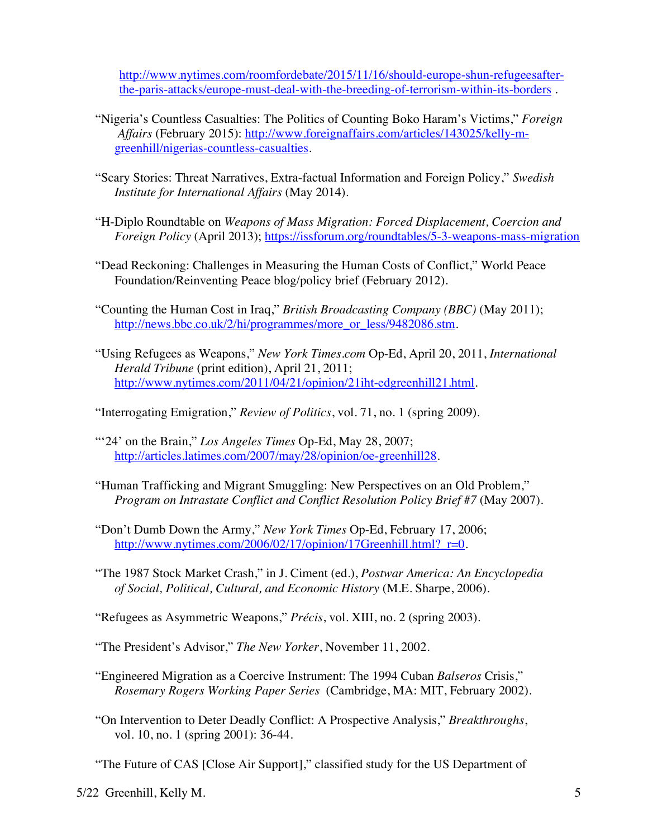http://www.nytimes.com/roomfordebate/2015/11/16/should-europe-shun-refugeesafterthe-paris-attacks/europe-must-deal-with-the-breeding-of-terrorism-within-its-borders .

- "Nigeria's Countless Casualties: The Politics of Counting Boko Haram's Victims," *Foreign Affairs* (February 2015): http://www.foreignaffairs.com/articles/143025/kelly-mgreenhill/nigerias-countless-casualties.
- "Scary Stories: Threat Narratives, Extra-factual Information and Foreign Policy," *Swedish Institute for International Affairs* (May 2014).
- "H-Diplo Roundtable on *Weapons of Mass Migration: Forced Displacement, Coercion and Foreign Policy* (April 2013); https://issforum.org/roundtables/5-3-weapons-mass-migration
- "Dead Reckoning: Challenges in Measuring the Human Costs of Conflict," World Peace Foundation/Reinventing Peace blog/policy brief (February 2012).
- "Counting the Human Cost in Iraq," *British Broadcasting Company (BBC)* (May 2011); http://news.bbc.co.uk/2/hi/programmes/more\_or\_less/9482086.stm.
- "Using Refugees as Weapons," *New York Times.com* Op-Ed, April 20, 2011, *International Herald Tribune* (print edition), April 21, 2011; http://www.nytimes.com/2011/04/21/opinion/21iht-edgreenhill21.html.

"Interrogating Emigration," *Review of Politics*, vol. 71, no. 1 (spring 2009).

- "'24' on the Brain," *Los Angeles Times* Op-Ed, May 28, 2007; http://articles.latimes.com/2007/may/28/opinion/oe-greenhill28.
- "Human Trafficking and Migrant Smuggling: New Perspectives on an Old Problem," *Program on Intrastate Conflict and Conflict Resolution Policy Brief #7* (May 2007).
- "Don't Dumb Down the Army," *New York Times* Op-Ed, February 17, 2006; http://www.nytimes.com/2006/02/17/opinion/17Greenhill.html? r=0.
- "The 1987 Stock Market Crash," in J. Ciment (ed.), *Postwar America: An Encyclopedia of Social, Political, Cultural, and Economic History* (M.E. Sharpe, 2006).
- "Refugees as Asymmetric Weapons," *Précis*, vol. XIII, no. 2 (spring 2003).

"The President's Advisor," *The New Yorker*, November 11, 2002.

- "Engineered Migration as a Coercive Instrument: The 1994 Cuban *Balseros* Crisis," *Rosemary Rogers Working Paper Series* (Cambridge, MA: MIT, February 2002).
- "On Intervention to Deter Deadly Conflict: A Prospective Analysis," *Breakthroughs*, vol. 10, no. 1 (spring 2001): 36-44.

"The Future of CAS [Close Air Support]," classified study for the US Department of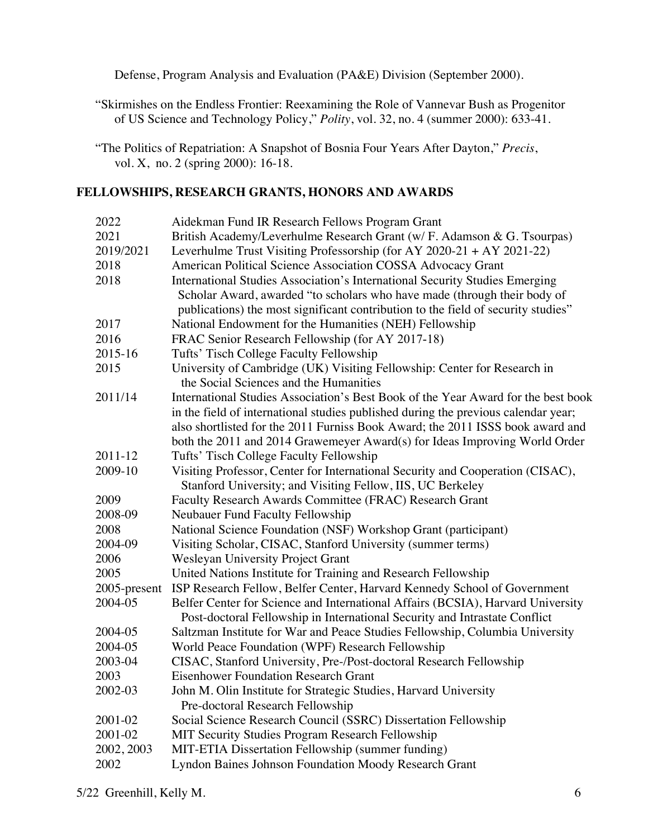Defense, Program Analysis and Evaluation (PA&E) Division (September 2000).

"Skirmishes on the Endless Frontier: Reexamining the Role of Vannevar Bush as Progenitor of US Science and Technology Policy," *Polity*, vol. 32, no. 4 (summer 2000): 633-41.

# **FELLOWSHIPS, RESEARCH GRANTS, HONORS AND AWARDS**

| 2022         | Aidekman Fund IR Research Fellows Program Grant                                                                                                               |
|--------------|---------------------------------------------------------------------------------------------------------------------------------------------------------------|
| 2021         | British Academy/Leverhulme Research Grant (w/ F. Adamson & G. Tsourpas)                                                                                       |
| 2019/2021    | Leverhulme Trust Visiting Professorship (for AY 2020-21 + AY 2021-22)                                                                                         |
| 2018         | American Political Science Association COSSA Advocacy Grant                                                                                                   |
| 2018         | International Studies Association's International Security Studies Emerging                                                                                   |
|              | Scholar Award, awarded "to scholars who have made (through their body of                                                                                      |
|              | publications) the most significant contribution to the field of security studies"                                                                             |
| 2017         | National Endowment for the Humanities (NEH) Fellowship                                                                                                        |
| 2016         | FRAC Senior Research Fellowship (for AY 2017-18)                                                                                                              |
| 2015-16      | Tufts' Tisch College Faculty Fellowship                                                                                                                       |
| 2015         | University of Cambridge (UK) Visiting Fellowship: Center for Research in<br>the Social Sciences and the Humanities                                            |
| 2011/14      | International Studies Association's Best Book of the Year Award for the best book                                                                             |
|              | in the field of international studies published during the previous calendar year;                                                                            |
|              | also shortlisted for the 2011 Furniss Book Award; the 2011 ISSS book award and                                                                                |
|              | both the 2011 and 2014 Grawemeyer Award(s) for Ideas Improving World Order                                                                                    |
| 2011-12      | Tufts' Tisch College Faculty Fellowship                                                                                                                       |
| 2009-10      | Visiting Professor, Center for International Security and Cooperation (CISAC),<br>Stanford University; and Visiting Fellow, IIS, UC Berkeley                  |
| 2009         | Faculty Research Awards Committee (FRAC) Research Grant                                                                                                       |
| 2008-09      | Neubauer Fund Faculty Fellowship                                                                                                                              |
| 2008         | National Science Foundation (NSF) Workshop Grant (participant)                                                                                                |
| 2004-09      | Visiting Scholar, CISAC, Stanford University (summer terms)                                                                                                   |
| 2006         | <b>Wesleyan University Project Grant</b>                                                                                                                      |
| 2005         | United Nations Institute for Training and Research Fellowship                                                                                                 |
| 2005-present | ISP Research Fellow, Belfer Center, Harvard Kennedy School of Government                                                                                      |
| 2004-05      | Belfer Center for Science and International Affairs (BCSIA), Harvard University<br>Post-doctoral Fellowship in International Security and Intrastate Conflict |
| 2004-05      | Saltzman Institute for War and Peace Studies Fellowship, Columbia University                                                                                  |
| 2004-05      | World Peace Foundation (WPF) Research Fellowship                                                                                                              |
| 2003-04      | CISAC, Stanford University, Pre-/Post-doctoral Research Fellowship                                                                                            |
| 2003         | <b>Eisenhower Foundation Research Grant</b>                                                                                                                   |
| 2002-03      | John M. Olin Institute for Strategic Studies, Harvard University                                                                                              |
|              | Pre-doctoral Research Fellowship                                                                                                                              |
| 2001-02      | Social Science Research Council (SSRC) Dissertation Fellowship                                                                                                |
| 2001-02      | MIT Security Studies Program Research Fellowship                                                                                                              |
| 2002, 2003   | MIT-ETIA Dissertation Fellowship (summer funding)                                                                                                             |
| 2002         | Lyndon Baines Johnson Foundation Moody Research Grant                                                                                                         |

<sup>&</sup>quot;The Politics of Repatriation: A Snapshot of Bosnia Four Years After Dayton," *Precis*, vol. X, no. 2 (spring 2000): 16-18.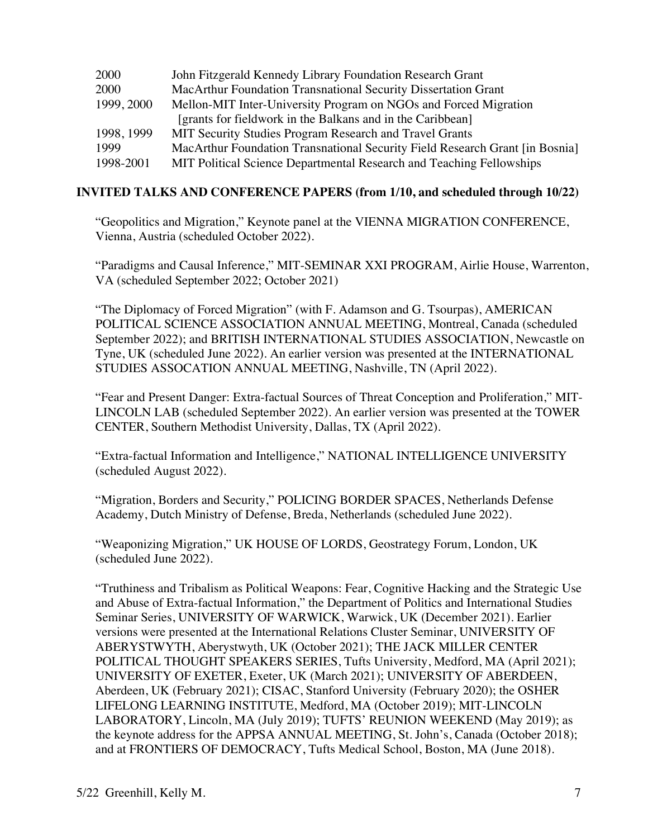| MacArthur Foundation Transnational Security Field Research Grant [in Bosnia] |
|------------------------------------------------------------------------------|
| MIT Political Science Departmental Research and Teaching Fellowships         |
|                                                                              |

# **INVITED TALKS AND CONFERENCE PAPERS (from 1/10, and scheduled through 10/22)**

"Geopolitics and Migration," Keynote panel at the VIENNA MIGRATION CONFERENCE, Vienna, Austria (scheduled October 2022).

"Paradigms and Causal Inference," MIT-SEMINAR XXI PROGRAM, Airlie House, Warrenton, VA (scheduled September 2022; October 2021)

"The Diplomacy of Forced Migration" (with F. Adamson and G. Tsourpas), AMERICAN POLITICAL SCIENCE ASSOCIATION ANNUAL MEETING, Montreal, Canada (scheduled September 2022); and BRITISH INTERNATIONAL STUDIES ASSOCIATION, Newcastle on Tyne, UK (scheduled June 2022). An earlier version was presented at the INTERNATIONAL STUDIES ASSOCATION ANNUAL MEETING, Nashville, TN (April 2022).

"Fear and Present Danger: Extra-factual Sources of Threat Conception and Proliferation," MIT-LINCOLN LAB (scheduled September 2022). An earlier version was presented at the TOWER CENTER, Southern Methodist University, Dallas, TX (April 2022).

"Extra-factual Information and Intelligence," NATIONAL INTELLIGENCE UNIVERSITY (scheduled August 2022).

"Migration, Borders and Security," POLICING BORDER SPACES, Netherlands Defense Academy, Dutch Ministry of Defense, Breda, Netherlands (scheduled June 2022).

"Weaponizing Migration," UK HOUSE OF LORDS, Geostrategy Forum, London, UK (scheduled June 2022).

"Truthiness and Tribalism as Political Weapons: Fear, Cognitive Hacking and the Strategic Use and Abuse of Extra-factual Information," the Department of Politics and International Studies Seminar Series, UNIVERSITY OF WARWICK, Warwick, UK (December 2021). Earlier versions were presented at the International Relations Cluster Seminar, UNIVERSITY OF ABERYSTWYTH, Aberystwyth, UK (October 2021); THE JACK MILLER CENTER POLITICAL THOUGHT SPEAKERS SERIES, Tufts University, Medford, MA (April 2021); UNIVERSITY OF EXETER, Exeter, UK (March 2021); UNIVERSITY OF ABERDEEN, Aberdeen, UK (February 2021); CISAC, Stanford University (February 2020); the OSHER LIFELONG LEARNING INSTITUTE, Medford, MA (October 2019); MIT-LINCOLN LABORATORY, Lincoln, MA (July 2019); TUFTS' REUNION WEEKEND (May 2019); as the keynote address for the APPSA ANNUAL MEETING, St. John's, Canada (October 2018); and at FRONTIERS OF DEMOCRACY, Tufts Medical School, Boston, MA (June 2018).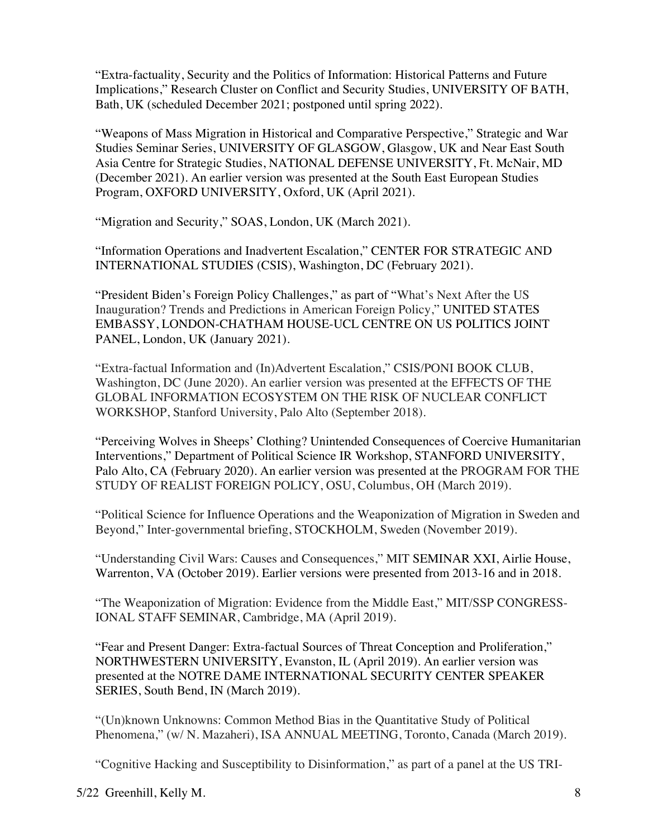"Extra-factuality, Security and the Politics of Information: Historical Patterns and Future Implications," Research Cluster on Conflict and Security Studies, UNIVERSITY OF BATH, Bath, UK (scheduled December 2021; postponed until spring 2022).

"Weapons of Mass Migration in Historical and Comparative Perspective," Strategic and War Studies Seminar Series, UNIVERSITY OF GLASGOW, Glasgow, UK and Near East South Asia Centre for Strategic Studies, NATIONAL DEFENSE UNIVERSITY, Ft. McNair, MD (December 2021). An earlier version was presented at the South East European Studies Program, OXFORD UNIVERSITY, Oxford, UK (April 2021).

"Migration and Security," SOAS, London, UK (March 2021).

"Information Operations and Inadvertent Escalation," CENTER FOR STRATEGIC AND INTERNATIONAL STUDIES (CSIS), Washington, DC (February 2021).

"President Biden's Foreign Policy Challenges," as part of "What's Next After the US Inauguration? Trends and Predictions in American Foreign Policy," UNITED STATES EMBASSY, LONDON-CHATHAM HOUSE-UCL CENTRE ON US POLITICS JOINT PANEL, London, UK (January 2021).

"Extra-factual Information and (In)Advertent Escalation," CSIS/PONI BOOK CLUB, Washington, DC (June 2020). An earlier version was presented at the EFFECTS OF THE GLOBAL INFORMATION ECOSYSTEM ON THE RISK OF NUCLEAR CONFLICT WORKSHOP, Stanford University, Palo Alto (September 2018).

"Perceiving Wolves in Sheeps' Clothing? Unintended Consequences of Coercive Humanitarian Interventions," Department of Political Science IR Workshop, STANFORD UNIVERSITY, Palo Alto, CA (February 2020). An earlier version was presented at the PROGRAM FOR THE STUDY OF REALIST FOREIGN POLICY, OSU, Columbus, OH (March 2019).

"Political Science for Influence Operations and the Weaponization of Migration in Sweden and Beyond," Inter-governmental briefing, STOCKHOLM, Sweden (November 2019).

"Understanding Civil Wars: Causes and Consequences," MIT SEMINAR XXI, Airlie House, Warrenton, VA (October 2019). Earlier versions were presented from 2013-16 and in 2018.

"The Weaponization of Migration: Evidence from the Middle East," MIT/SSP CONGRESS-IONAL STAFF SEMINAR, Cambridge, MA (April 2019).

"Fear and Present Danger: Extra-factual Sources of Threat Conception and Proliferation," NORTHWESTERN UNIVERSITY, Evanston, IL (April 2019). An earlier version was presented at the NOTRE DAME INTERNATIONAL SECURITY CENTER SPEAKER SERIES, South Bend, IN (March 2019).

"(Un)known Unknowns: Common Method Bias in the Quantitative Study of Political Phenomena," (w/ N. Mazaheri), ISA ANNUAL MEETING, Toronto, Canada (March 2019).

"Cognitive Hacking and Susceptibility to Disinformation," as part of a panel at the US TRI-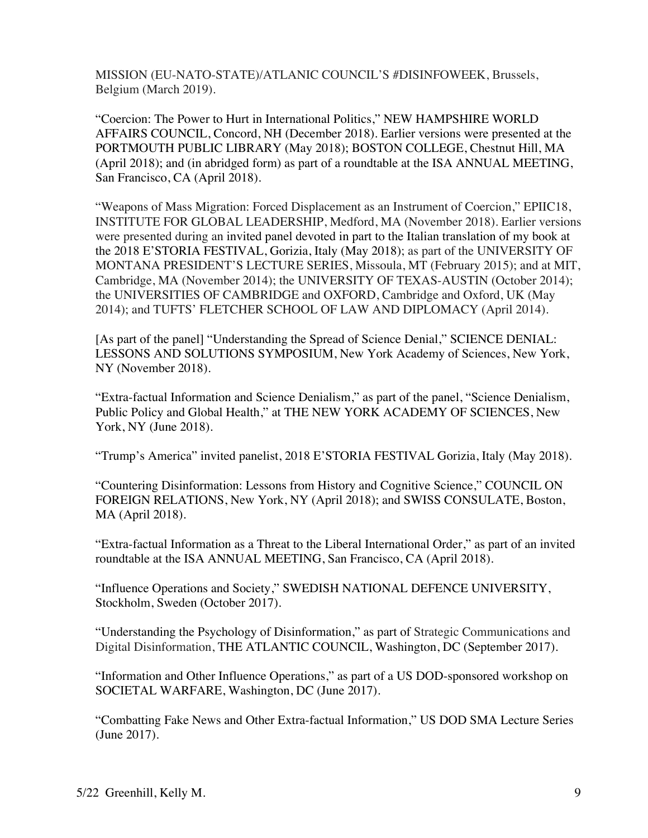MISSION (EU-NATO-STATE)/ATLANIC COUNCIL'S #DISINFOWEEK, Brussels, Belgium (March 2019).

"Coercion: The Power to Hurt in International Politics," NEW HAMPSHIRE WORLD AFFAIRS COUNCIL, Concord, NH (December 2018). Earlier versions were presented at the PORTMOUTH PUBLIC LIBRARY (May 2018); BOSTON COLLEGE, Chestnut Hill, MA (April 2018); and (in abridged form) as part of a roundtable at the ISA ANNUAL MEETING, San Francisco, CA (April 2018).

"Weapons of Mass Migration: Forced Displacement as an Instrument of Coercion," EPIIC18, INSTITUTE FOR GLOBAL LEADERSHIP, Medford, MA (November 2018). Earlier versions were presented during an invited panel devoted in part to the Italian translation of my book at the 2018 E'STORIA FESTIVAL, Gorizia, Italy (May 2018); as part of the UNIVERSITY OF MONTANA PRESIDENT'S LECTURE SERIES, Missoula, MT (February 2015); and at MIT, Cambridge, MA (November 2014); the UNIVERSITY OF TEXAS-AUSTIN (October 2014); the UNIVERSITIES OF CAMBRIDGE and OXFORD, Cambridge and Oxford, UK (May 2014); and TUFTS' FLETCHER SCHOOL OF LAW AND DIPLOMACY (April 2014).

[As part of the panel] "Understanding the Spread of Science Denial," SCIENCE DENIAL: LESSONS AND SOLUTIONS SYMPOSIUM, New York Academy of Sciences, New York, NY (November 2018).

"Extra-factual Information and Science Denialism," as part of the panel, "Science Denialism, Public Policy and Global Health," at THE NEW YORK ACADEMY OF SCIENCES, New York, NY (June 2018).

"Trump's America" invited panelist, 2018 E'STORIA FESTIVAL Gorizia, Italy (May 2018).

"Countering Disinformation: Lessons from History and Cognitive Science," COUNCIL ON FOREIGN RELATIONS, New York, NY (April 2018); and SWISS CONSULATE, Boston, MA (April 2018).

"Extra-factual Information as a Threat to the Liberal International Order," as part of an invited roundtable at the ISA ANNUAL MEETING, San Francisco, CA (April 2018).

"Influence Operations and Society," SWEDISH NATIONAL DEFENCE UNIVERSITY, Stockholm, Sweden (October 2017).

"Understanding the Psychology of Disinformation," as part of Strategic Communications and Digital Disinformation, THE ATLANTIC COUNCIL, Washington, DC (September 2017).

"Information and Other Influence Operations," as part of a US DOD-sponsored workshop on SOCIETAL WARFARE, Washington, DC (June 2017).

"Combatting Fake News and Other Extra-factual Information," US DOD SMA Lecture Series (June 2017).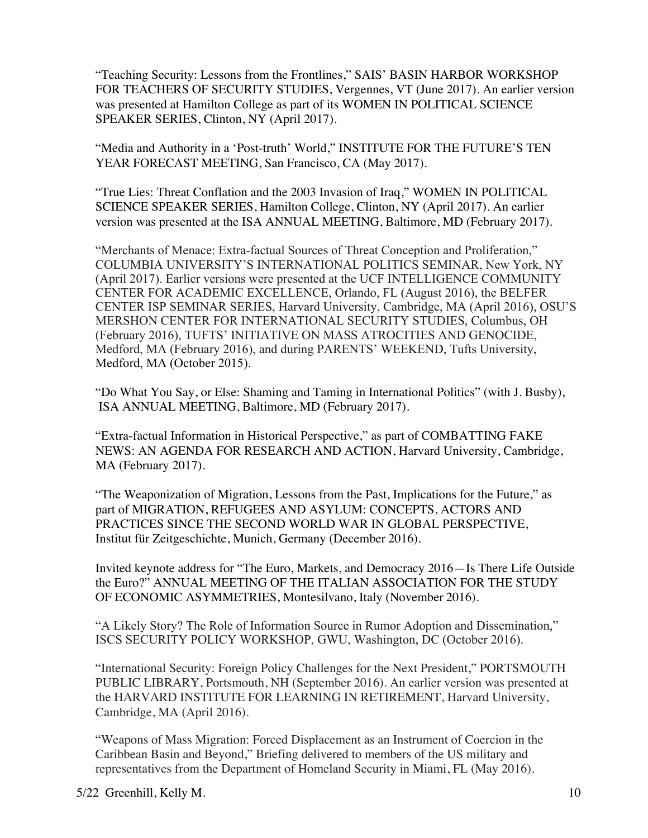"Teaching Security: Lessons from the Frontlines," SAIS' BASIN HARBOR WORKSHOP FOR TEACHERS OF SECURITY STUDIES, Vergennes, VT (June 2017). An earlier version was presented at Hamilton College as part of its WOMEN IN POLITICAL SCIENCE SPEAKER SERIES, Clinton, NY (April 2017).

"Media and Authority in a 'Post-truth' World," INSTITUTE FOR THE FUTURE'S TEN YEAR FORECAST MEETING, San Francisco, CA (May 2017).

"True Lies: Threat Conflation and the 2003 Invasion of Iraq," WOMEN IN POLITICAL SCIENCE SPEAKER SERIES, Hamilton College, Clinton, NY (April 2017). An earlier version was presented at the ISA ANNUAL MEETING, Baltimore, MD (February 2017).

"Merchants of Menace: Extra-factual Sources of Threat Conception and Proliferation," COLUMBIA UNIVERSITY'S INTERNATIONAL POLITICS SEMINAR, New York, NY (April 2017). Earlier versions were presented at the UCF INTELLIGENCE COMMUNITY CENTER FOR ACADEMIC EXCELLENCE, Orlando, FL (August 2016), the BELFER CENTER ISP SEMINAR SERIES, Harvard University, Cambridge, MA (April 2016), OSU'S MERSHON CENTER FOR INTERNATIONAL SECURITY STUDIES, Columbus, OH (February 2016), TUFTS' INITIATIVE ON MASS ATROCITIES AND GENOCIDE, Medford, MA (February 2016), and during PARENTS' WEEKEND, Tufts University, Medford, MA (October 2015).

"Do What You Say, or Else: Shaming and Taming in International Politics" (with J. Busby), ISA ANNUAL MEETING, Baltimore, MD (February 2017).

"Extra-factual Information in Historical Perspective," as part of COMBATTING FAKE NEWS: AN AGENDA FOR RESEARCH AND ACTION, Harvard University, Cambridge, MA (February 2017).

"The Weaponization of Migration, Lessons from the Past, Implications for the Future," as part of MIGRATION, REFUGEES AND ASYLUM: CONCEPTS, ACTORS AND PRACTICES SINCE THE SECOND WORLD WAR IN GLOBAL PERSPECTIVE, Institut für Zeitgeschichte, Munich, Germany (December 2016).

Invited keynote address for "The Euro, Markets, and Democracy 2016—Is There Life Outside the Euro?" ANNUAL MEETING OF THE ITALIAN ASSOCIATION FOR THE STUDY OF ECONOMIC ASYMMETRIES, Montesilvano, Italy (November 2016).

"A Likely Story? The Role of Information Source in Rumor Adoption and Dissemination," ISCS SECURITY POLICY WORKSHOP, GWU, Washington, DC (October 2016).

"International Security: Foreign Policy Challenges for the Next President," PORTSMOUTH PUBLIC LIBRARY, Portsmouth, NH (September 2016). An earlier version was presented at the HARVARD INSTITUTE FOR LEARNING IN RETIREMENT, Harvard University, Cambridge, MA (April 2016).

"Weapons of Mass Migration: Forced Displacement as an Instrument of Coercion in the Caribbean Basin and Beyond," Briefing delivered to members of the US military and representatives from the Department of Homeland Security in Miami, FL (May 2016).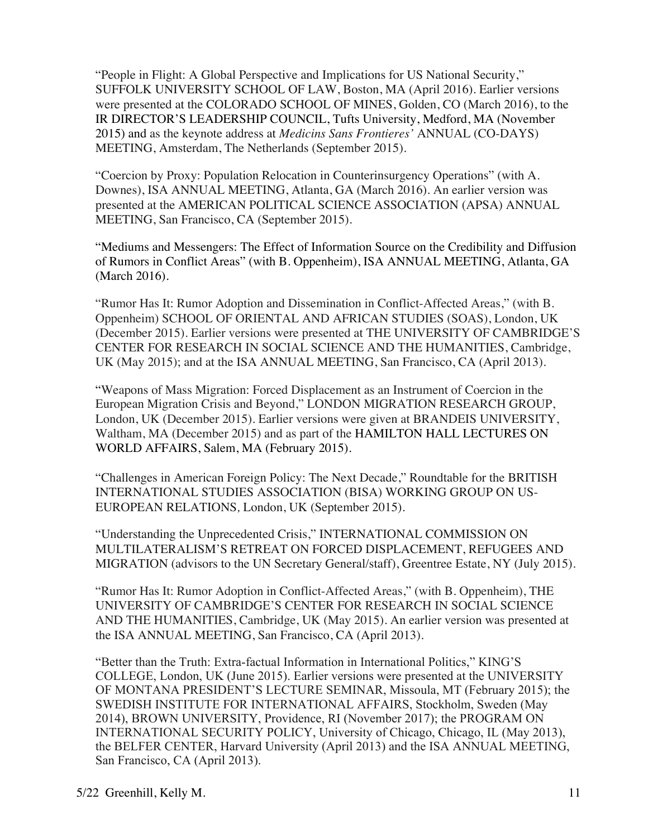"People in Flight: A Global Perspective and Implications for US National Security," SUFFOLK UNIVERSITY SCHOOL OF LAW, Boston, MA (April 2016). Earlier versions were presented at the COLORADO SCHOOL OF MINES, Golden, CO (March 2016), to the IR DIRECTOR'S LEADERSHIP COUNCIL, Tufts University, Medford, MA (November 2015) and as the keynote address at *Medicins Sans Frontieres'* ANNUAL (CO-DAYS) MEETING, Amsterdam, The Netherlands (September 2015).

"Coercion by Proxy: Population Relocation in Counterinsurgency Operations" (with A. Downes), ISA ANNUAL MEETING, Atlanta, GA (March 2016). An earlier version was presented at the AMERICAN POLITICAL SCIENCE ASSOCIATION (APSA) ANNUAL MEETING, San Francisco, CA (September 2015).

"Mediums and Messengers: The Effect of Information Source on the Credibility and Diffusion of Rumors in Conflict Areas" (with B. Oppenheim), ISA ANNUAL MEETING, Atlanta, GA (March 2016).

"Rumor Has It: Rumor Adoption and Dissemination in Conflict-Affected Areas," (with B. Oppenheim) SCHOOL OF ORIENTAL AND AFRICAN STUDIES (SOAS), London, UK (December 2015). Earlier versions were presented at THE UNIVERSITY OF CAMBRIDGE'S CENTER FOR RESEARCH IN SOCIAL SCIENCE AND THE HUMANITIES, Cambridge, UK (May 2015); and at the ISA ANNUAL MEETING, San Francisco, CA (April 2013).

"Weapons of Mass Migration: Forced Displacement as an Instrument of Coercion in the European Migration Crisis and Beyond," LONDON MIGRATION RESEARCH GROUP, London, UK (December 2015). Earlier versions were given at BRANDEIS UNIVERSITY, Waltham, MA (December 2015) and as part of the HAMILTON HALL LECTURES ON WORLD AFFAIRS, Salem, MA (February 2015).

"Challenges in American Foreign Policy: The Next Decade," Roundtable for the BRITISH INTERNATIONAL STUDIES ASSOCIATION (BISA) WORKING GROUP ON US-EUROPEAN RELATIONS*,* London, UK (September 2015).

"Understanding the Unprecedented Crisis," INTERNATIONAL COMMISSION ON MULTILATERALISM'S RETREAT ON FORCED DISPLACEMENT, REFUGEES AND MIGRATION (advisors to the UN Secretary General/staff), Greentree Estate, NY (July 2015).

"Rumor Has It: Rumor Adoption in Conflict-Affected Areas," (with B. Oppenheim), THE UNIVERSITY OF CAMBRIDGE'S CENTER FOR RESEARCH IN SOCIAL SCIENCE AND THE HUMANITIES, Cambridge, UK (May 2015). An earlier version was presented at the ISA ANNUAL MEETING, San Francisco, CA (April 2013).

"Better than the Truth: Extra-factual Information in International Politics," KING'S COLLEGE, London, UK (June 2015). Earlier versions were presented at the UNIVERSITY OF MONTANA PRESIDENT'S LECTURE SEMINAR, Missoula, MT (February 2015); the SWEDISH INSTITUTE FOR INTERNATIONAL AFFAIRS, Stockholm, Sweden (May 2014), BROWN UNIVERSITY, Providence, RI (November 2017); the PROGRAM ON INTERNATIONAL SECURITY POLICY, University of Chicago, Chicago, IL (May 2013), the BELFER CENTER, Harvard University (April 2013) and the ISA ANNUAL MEETING, San Francisco, CA (April 2013).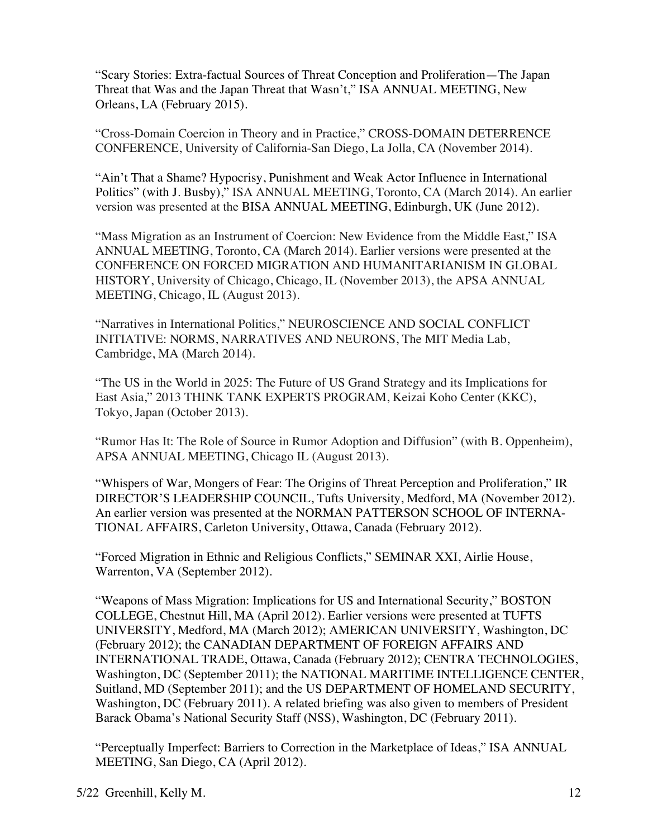"Scary Stories: Extra-factual Sources of Threat Conception and Proliferation—The Japan Threat that Was and the Japan Threat that Wasn't," ISA ANNUAL MEETING, New Orleans, LA (February 2015).

"Cross-Domain Coercion in Theory and in Practice," CROSS-DOMAIN DETERRENCE CONFERENCE, University of California-San Diego, La Jolla, CA (November 2014).

"Ain't That a Shame? Hypocrisy, Punishment and Weak Actor Influence in International Politics" (with J. Busby)," ISA ANNUAL MEETING, Toronto, CA (March 2014). An earlier version was presented at the BISA ANNUAL MEETING, Edinburgh, UK (June 2012).

"Mass Migration as an Instrument of Coercion: New Evidence from the Middle East," ISA ANNUAL MEETING, Toronto, CA (March 2014). Earlier versions were presented at the CONFERENCE ON FORCED MIGRATION AND HUMANITARIANISM IN GLOBAL HISTORY, University of Chicago, Chicago, IL (November 2013), the APSA ANNUAL MEETING, Chicago, IL (August 2013).

"Narratives in International Politics," NEUROSCIENCE AND SOCIAL CONFLICT INITIATIVE: NORMS, NARRATIVES AND NEURONS, The MIT Media Lab, Cambridge, MA (March 2014).

"The US in the World in 2025: The Future of US Grand Strategy and its Implications for East Asia," 2013 THINK TANK EXPERTS PROGRAM, Keizai Koho Center (KKC), Tokyo, Japan (October 2013).

"Rumor Has It: The Role of Source in Rumor Adoption and Diffusion" (with B. Oppenheim), APSA ANNUAL MEETING, Chicago IL (August 2013).

"Whispers of War, Mongers of Fear: The Origins of Threat Perception and Proliferation," IR DIRECTOR'S LEADERSHIP COUNCIL, Tufts University, Medford, MA (November 2012). An earlier version was presented at the NORMAN PATTERSON SCHOOL OF INTERNA-TIONAL AFFAIRS, Carleton University, Ottawa, Canada (February 2012).

"Forced Migration in Ethnic and Religious Conflicts," SEMINAR XXI, Airlie House, Warrenton, VA (September 2012).

"Weapons of Mass Migration: Implications for US and International Security," BOSTON COLLEGE, Chestnut Hill, MA (April 2012). Earlier versions were presented at TUFTS UNIVERSITY, Medford, MA (March 2012); AMERICAN UNIVERSITY, Washington, DC (February 2012); the CANADIAN DEPARTMENT OF FOREIGN AFFAIRS AND INTERNATIONAL TRADE, Ottawa, Canada (February 2012); CENTRA TECHNOLOGIES, Washington, DC (September 2011); the NATIONAL MARITIME INTELLIGENCE CENTER, Suitland, MD (September 2011); and the US DEPARTMENT OF HOMELAND SECURITY, Washington, DC (February 2011). A related briefing was also given to members of President Barack Obama's National Security Staff (NSS), Washington, DC (February 2011).

"Perceptually Imperfect: Barriers to Correction in the Marketplace of Ideas," ISA ANNUAL MEETING, San Diego, CA (April 2012).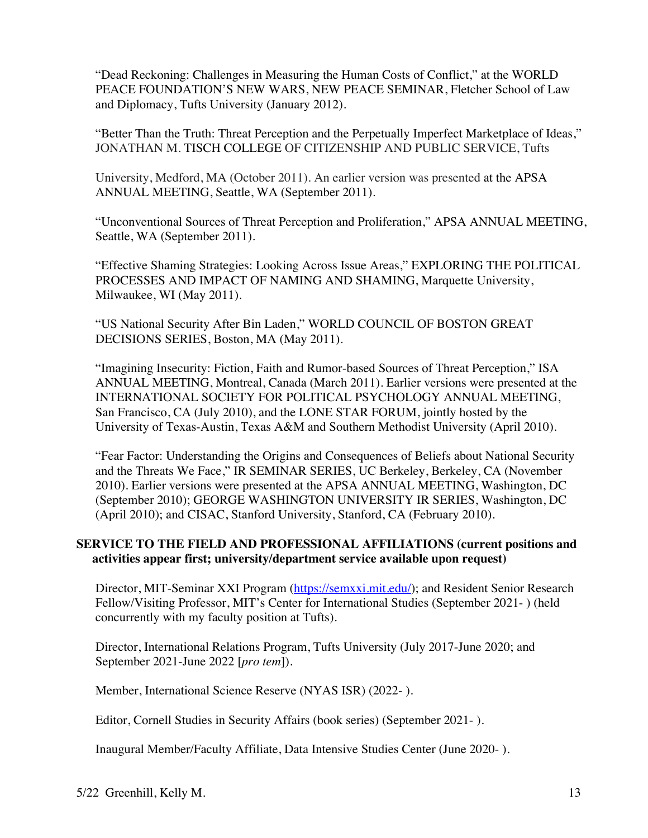"Dead Reckoning: Challenges in Measuring the Human Costs of Conflict," at the WORLD PEACE FOUNDATION'S NEW WARS, NEW PEACE SEMINAR, Fletcher School of Law and Diplomacy, Tufts University (January 2012).

"Better Than the Truth: Threat Perception and the Perpetually Imperfect Marketplace of Ideas," JONATHAN M. TISCH COLLEGE OF CITIZENSHIP AND PUBLIC SERVICE, Tufts

University, Medford, MA (October 2011). An earlier version was presented at the APSA ANNUAL MEETING, Seattle, WA (September 2011).

"Unconventional Sources of Threat Perception and Proliferation," APSA ANNUAL MEETING, Seattle, WA (September 2011).

"Effective Shaming Strategies: Looking Across Issue Areas," EXPLORING THE POLITICAL PROCESSES AND IMPACT OF NAMING AND SHAMING, Marquette University, Milwaukee, WI (May 2011).

"US National Security After Bin Laden," WORLD COUNCIL OF BOSTON GREAT DECISIONS SERIES, Boston, MA (May 2011).

"Imagining Insecurity: Fiction, Faith and Rumor-based Sources of Threat Perception," ISA ANNUAL MEETING, Montreal, Canada (March 2011). Earlier versions were presented at the INTERNATIONAL SOCIETY FOR POLITICAL PSYCHOLOGY ANNUAL MEETING, San Francisco, CA (July 2010), and the LONE STAR FORUM, jointly hosted by the University of Texas-Austin, Texas A&M and Southern Methodist University (April 2010).

"Fear Factor: Understanding the Origins and Consequences of Beliefs about National Security and the Threats We Face," IR SEMINAR SERIES, UC Berkeley, Berkeley, CA (November 2010). Earlier versions were presented at the APSA ANNUAL MEETING, Washington, DC (September 2010); GEORGE WASHINGTON UNIVERSITY IR SERIES, Washington, DC (April 2010); and CISAC, Stanford University, Stanford, CA (February 2010).

# **SERVICE TO THE FIELD AND PROFESSIONAL AFFILIATIONS (current positions and activities appear first; university/department service available upon request)**

Director, MIT-Seminar XXI Program (https://semxxi.mit.edu/); and Resident Senior Research Fellow/Visiting Professor, MIT's Center for International Studies (September 2021- ) (held concurrently with my faculty position at Tufts).

Director, International Relations Program, Tufts University (July 2017-June 2020; and September 2021-June 2022 [*pro tem*]).

Member, International Science Reserve (NYAS ISR) (2022- ).

Editor, Cornell Studies in Security Affairs (book series) (September 2021- ).

Inaugural Member/Faculty Affiliate, Data Intensive Studies Center (June 2020- ).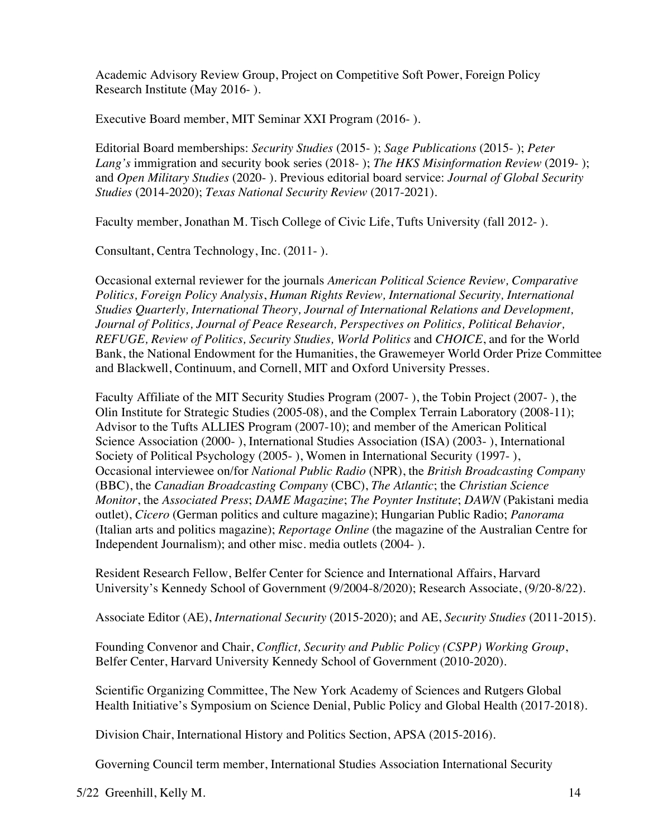Academic Advisory Review Group, Project on Competitive Soft Power, Foreign Policy Research Institute (May 2016- ).

Executive Board member, MIT Seminar XXI Program (2016- ).

Editorial Board memberships: *Security Studies* (2015- ); *Sage Publications* (2015- ); *Peter Lang's* immigration and security book series (2018- ); *The HKS Misinformation Review* (2019- ); and *Open Military Studies* (2020- ). Previous editorial board service: *Journal of Global Security Studies* (2014-2020); *Texas National Security Review* (2017-2021).

Faculty member, Jonathan M. Tisch College of Civic Life, Tufts University (fall 2012- ).

Consultant, Centra Technology, Inc. (2011- ).

Occasional external reviewer for the journals *American Political Science Review, Comparative Politics, Foreign Policy Analysis*, *Human Rights Review, International Security, International Studies Quarterly, International Theory, Journal of International Relations and Development, Journal of Politics, Journal of Peace Research, Perspectives on Politics, Political Behavior, REFUGE, Review of Politics, Security Studies, World Politics* and *CHOICE*, and for the World Bank, the National Endowment for the Humanities, the Grawemeyer World Order Prize Committee and Blackwell, Continuum, and Cornell, MIT and Oxford University Presses.

Faculty Affiliate of the MIT Security Studies Program (2007- ), the Tobin Project (2007- ), the Olin Institute for Strategic Studies (2005-08), and the Complex Terrain Laboratory (2008-11); Advisor to the Tufts ALLIES Program (2007-10); and member of the American Political Science Association (2000- ), International Studies Association (ISA) (2003- ), International Society of Political Psychology (2005- ), Women in International Security (1997- ), Occasional interviewee on/for *National Public Radio* (NPR), the *British Broadcasting Company* (BBC), the *Canadian Broadcasting Company* (CBC), *The Atlantic*; the *Christian Science Monitor*, the *Associated Press*; *DAME Magazine*; *The Poynter Institute*; *DAWN* (Pakistani media outlet), *Cicero* (German politics and culture magazine); Hungarian Public Radio; *Panorama*  (Italian arts and politics magazine); *Reportage Online* (the magazine of the Australian Centre for Independent Journalism); and other misc. media outlets (2004- ).

Resident Research Fellow, Belfer Center for Science and International Affairs, Harvard University's Kennedy School of Government (9/2004-8/2020); Research Associate, (9/20-8/22).

Associate Editor (AE), *International Security* (2015-2020); and AE, *Security Studies* (2011-2015).

Founding Convenor and Chair, *Conflict, Security and Public Policy (CSPP) Working Group*, Belfer Center, Harvard University Kennedy School of Government (2010-2020).

Scientific Organizing Committee, The New York Academy of Sciences and Rutgers Global Health Initiative's Symposium on Science Denial, Public Policy and Global Health (2017-2018).

Division Chair, International History and Politics Section, APSA (2015-2016).

Governing Council term member, International Studies Association International Security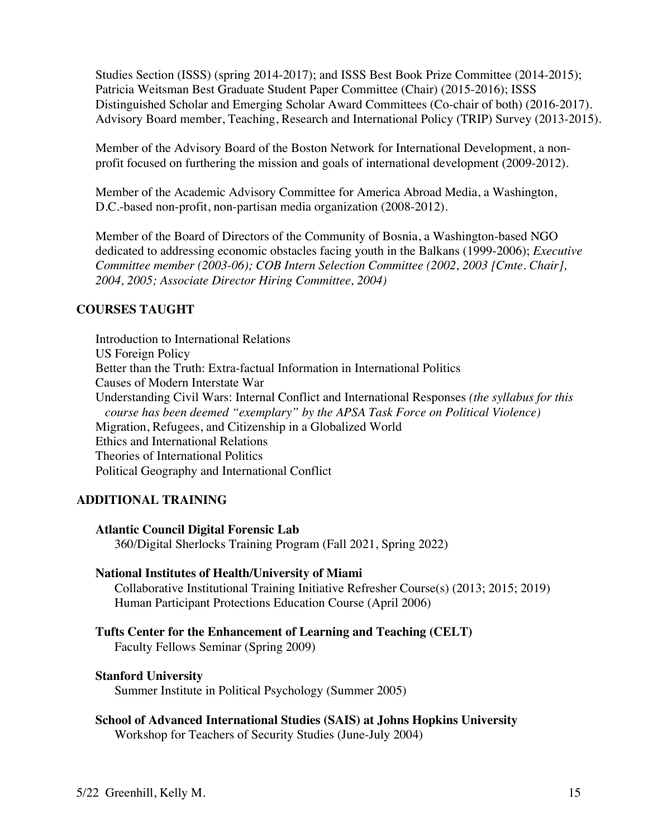Studies Section (ISSS) (spring 2014-2017); and ISSS Best Book Prize Committee (2014-2015); Patricia Weitsman Best Graduate Student Paper Committee (Chair) (2015-2016); ISSS Distinguished Scholar and Emerging Scholar Award Committees (Co-chair of both) (2016-2017). Advisory Board member, Teaching, Research and International Policy (TRIP) Survey (2013-2015).

Member of the Advisory Board of the Boston Network for International Development, a nonprofit focused on furthering the mission and goals of international development (2009-2012).

Member of the Academic Advisory Committee for America Abroad Media, a Washington, D.C.-based non-profit, non-partisan media organization (2008-2012).

Member of the Board of Directors of the Community of Bosnia, a Washington-based NGO dedicated to addressing economic obstacles facing youth in the Balkans (1999-2006); *Executive Committee member (2003-06); COB Intern Selection Committee (2002, 2003 [Cmte. Chair], 2004, 2005; Associate Director Hiring Committee, 2004)*

# **COURSES TAUGHT**

Introduction to International Relations US Foreign Policy Better than the Truth: Extra-factual Information in International Politics Causes of Modern Interstate War Understanding Civil Wars: Internal Conflict and International Responses *(the syllabus for this course has been deemed "exemplary" by the APSA Task Force on Political Violence)*  Migration, Refugees, and Citizenship in a Globalized World Ethics and International Relations Theories of International Politics Political Geography and International Conflict

# **ADDITIONAL TRAINING**

## **Atlantic Council Digital Forensic Lab**

360/Digital Sherlocks Training Program (Fall 2021, Spring 2022)

## **National Institutes of Health/University of Miami**

Collaborative Institutional Training Initiative Refresher Course(s) (2013; 2015; 2019) Human Participant Protections Education Course (April 2006)

## **Tufts Center for the Enhancement of Learning and Teaching (CELT)**

Faculty Fellows Seminar (Spring 2009)

### **Stanford University**

Summer Institute in Political Psychology (Summer 2005)

**School of Advanced International Studies (SAIS) at Johns Hopkins University** Workshop for Teachers of Security Studies (June-July 2004)